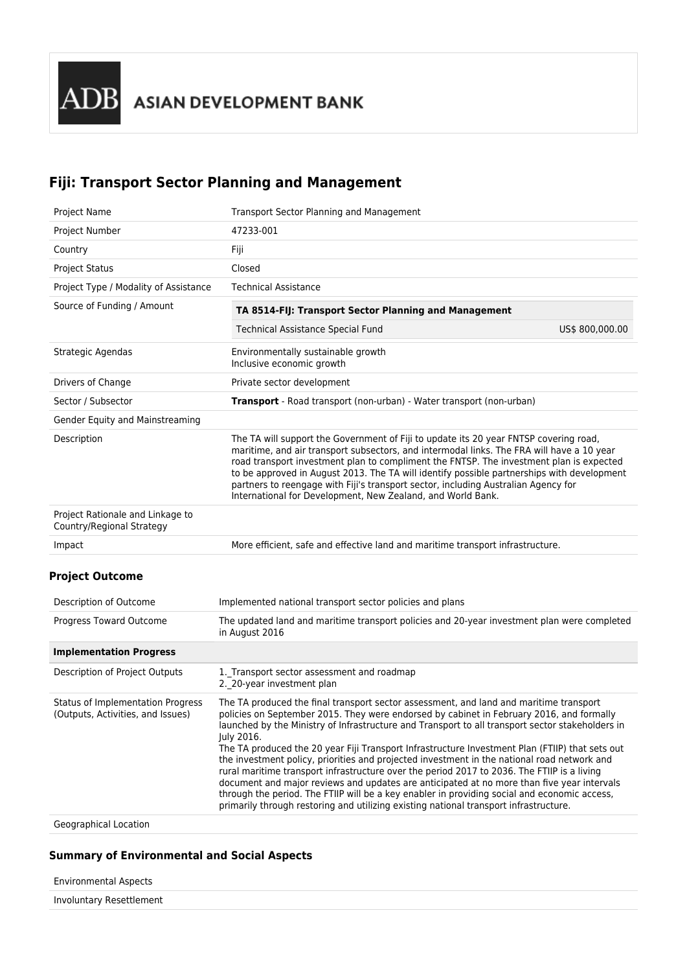# **Fiji: Transport Sector Planning and Management**

| <b>Project Name</b>                                           | Transport Sector Planning and Management                                                                                                                                                                                                                                                                                                                                                                                                                                                                                         |                 |  |  |
|---------------------------------------------------------------|----------------------------------------------------------------------------------------------------------------------------------------------------------------------------------------------------------------------------------------------------------------------------------------------------------------------------------------------------------------------------------------------------------------------------------------------------------------------------------------------------------------------------------|-----------------|--|--|
| <b>Project Number</b>                                         | 47233-001                                                                                                                                                                                                                                                                                                                                                                                                                                                                                                                        |                 |  |  |
| Country                                                       | Fiji                                                                                                                                                                                                                                                                                                                                                                                                                                                                                                                             |                 |  |  |
| <b>Project Status</b>                                         | Closed                                                                                                                                                                                                                                                                                                                                                                                                                                                                                                                           |                 |  |  |
| Project Type / Modality of Assistance                         | <b>Technical Assistance</b>                                                                                                                                                                                                                                                                                                                                                                                                                                                                                                      |                 |  |  |
| Source of Funding / Amount                                    | TA 8514-FIJ: Transport Sector Planning and Management                                                                                                                                                                                                                                                                                                                                                                                                                                                                            |                 |  |  |
|                                                               | <b>Technical Assistance Special Fund</b>                                                                                                                                                                                                                                                                                                                                                                                                                                                                                         | US\$ 800,000.00 |  |  |
| Strategic Agendas                                             | Environmentally sustainable growth<br>Inclusive economic growth                                                                                                                                                                                                                                                                                                                                                                                                                                                                  |                 |  |  |
| Drivers of Change                                             | Private sector development                                                                                                                                                                                                                                                                                                                                                                                                                                                                                                       |                 |  |  |
| Sector / Subsector                                            | Transport - Road transport (non-urban) - Water transport (non-urban)                                                                                                                                                                                                                                                                                                                                                                                                                                                             |                 |  |  |
| Gender Equity and Mainstreaming                               |                                                                                                                                                                                                                                                                                                                                                                                                                                                                                                                                  |                 |  |  |
| Description                                                   | The TA will support the Government of Fiji to update its 20 year FNTSP covering road,<br>maritime, and air transport subsectors, and intermodal links. The FRA will have a 10 year<br>road transport investment plan to compliment the FNTSP. The investment plan is expected<br>to be approved in August 2013. The TA will identify possible partnerships with development<br>partners to reengage with Fiji's transport sector, including Australian Agency for<br>International for Development, New Zealand, and World Bank. |                 |  |  |
| Project Rationale and Linkage to<br>Country/Regional Strategy |                                                                                                                                                                                                                                                                                                                                                                                                                                                                                                                                  |                 |  |  |
| Impact                                                        | More efficient, safe and effective land and maritime transport infrastructure.                                                                                                                                                                                                                                                                                                                                                                                                                                                   |                 |  |  |
| <b>Project Outcome</b>                                        |                                                                                                                                                                                                                                                                                                                                                                                                                                                                                                                                  |                 |  |  |
| Description of Outcome                                        | Implemented national transport sector policies and plans                                                                                                                                                                                                                                                                                                                                                                                                                                                                         |                 |  |  |
| Progress Toward Outcome                                       | The updated land and maritime transport policies and 20-year investment plan were completed<br>in August 2016                                                                                                                                                                                                                                                                                                                                                                                                                    |                 |  |  |
| <b>Implementation Progress</b>                                |                                                                                                                                                                                                                                                                                                                                                                                                                                                                                                                                  |                 |  |  |

| Description of Project Outputs                                         | 1. Transport sector assessment and roadmap<br>2. 20-year investment plan                                                                                                                                                                                                                                                                                                                                                                                                                                                                                                                                                                                                                                                                                                                                                                                                                     |
|------------------------------------------------------------------------|----------------------------------------------------------------------------------------------------------------------------------------------------------------------------------------------------------------------------------------------------------------------------------------------------------------------------------------------------------------------------------------------------------------------------------------------------------------------------------------------------------------------------------------------------------------------------------------------------------------------------------------------------------------------------------------------------------------------------------------------------------------------------------------------------------------------------------------------------------------------------------------------|
| Status of Implementation Progress<br>(Outputs, Activities, and Issues) | The TA produced the final transport sector assessment, and land and maritime transport<br>policies on September 2015. They were endorsed by cabinet in February 2016, and formally<br>launched by the Ministry of Infrastructure and Transport to all transport sector stakeholders in<br>July 2016.<br>The TA produced the 20 year Fiji Transport Infrastructure Investment Plan (FTIIP) that sets out<br>the investment policy, priorities and projected investment in the national road network and<br>rural maritime transport infrastructure over the period 2017 to 2036. The FTIIP is a living<br>document and major reviews and updates are anticipated at no more than five year intervals<br>through the period. The FTIIP will be a key enabler in providing social and economic access,<br>primarily through restoring and utilizing existing national transport infrastructure. |
|                                                                        |                                                                                                                                                                                                                                                                                                                                                                                                                                                                                                                                                                                                                                                                                                                                                                                                                                                                                              |

Geographical Location

#### **Summary of Environmental and Social Aspects**

Environmental Aspects

Involuntary Resettlement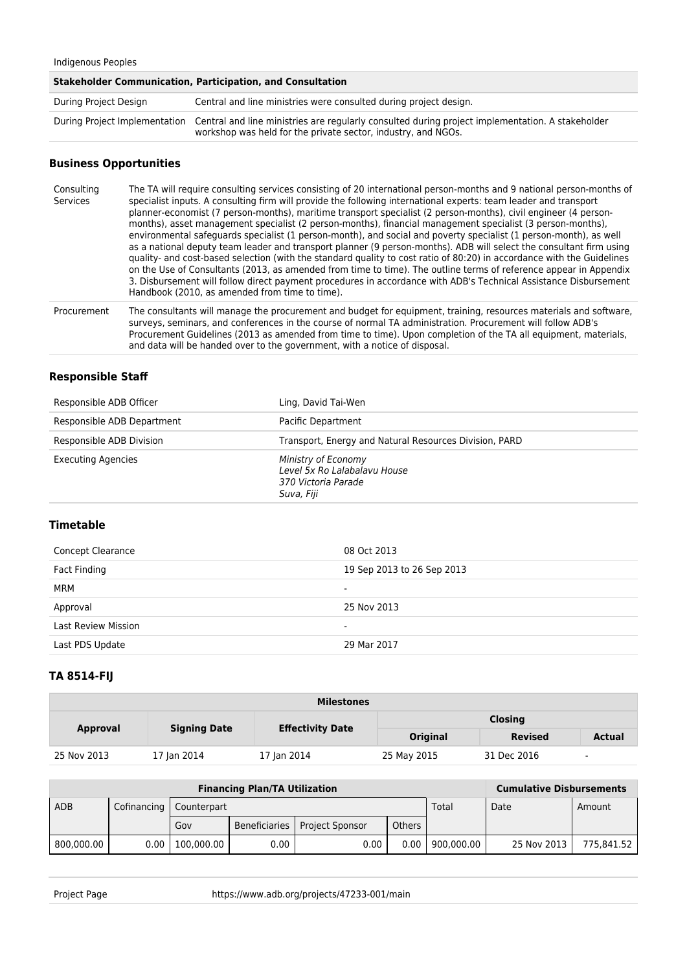#### Indigenous Peoples

| Stakeholder Communication, Participation, and Consultation |                                                                                                                                                                                                 |  |  |
|------------------------------------------------------------|-------------------------------------------------------------------------------------------------------------------------------------------------------------------------------------------------|--|--|
| During Project Design                                      | Central and line ministries were consulted during project design.                                                                                                                               |  |  |
|                                                            | During Project Implementation Central and line ministries are regularly consulted during project implementation. A stakeholder<br>workshop was held for the private sector, industry, and NGOs. |  |  |

## **Business Opportunities**

| Consulting<br>Services | The TA will require consulting services consisting of 20 international person-months and 9 national person-months of<br>specialist inputs. A consulting firm will provide the following international experts: team leader and transport<br>planner-economist (7 person-months), maritime transport specialist (2 person-months), civil engineer (4 person-<br>months), asset management specialist (2 person-months), financial management specialist (3 person-months),<br>environmental safeguards specialist (1 person-month), and social and poverty specialist (1 person-month), as well<br>as a national deputy team leader and transport planner (9 person-months). ADB will select the consultant firm using<br>quality- and cost-based selection (with the standard quality to cost ratio of 80:20) in accordance with the Guidelines<br>on the Use of Consultants (2013, as amended from time to time). The outline terms of reference appear in Appendix<br>3. Disbursement will follow direct payment procedures in accordance with ADB's Technical Assistance Disbursement<br>Handbook (2010, as amended from time to time). |
|------------------------|--------------------------------------------------------------------------------------------------------------------------------------------------------------------------------------------------------------------------------------------------------------------------------------------------------------------------------------------------------------------------------------------------------------------------------------------------------------------------------------------------------------------------------------------------------------------------------------------------------------------------------------------------------------------------------------------------------------------------------------------------------------------------------------------------------------------------------------------------------------------------------------------------------------------------------------------------------------------------------------------------------------------------------------------------------------------------------------------------------------------------------------------|
|                        |                                                                                                                                                                                                                                                                                                                                                                                                                                                                                                                                                                                                                                                                                                                                                                                                                                                                                                                                                                                                                                                                                                                                            |

Procurement The consultants will manage the procurement and budget for equipment, training, resources materials and software, surveys, seminars, and conferences in the course of normal TA administration. Procurement will follow ADB's Procurement Guidelines (2013 as amended from time to time). Upon completion of the TA all equipment, materials, and data will be handed over to the government, with a notice of disposal.

#### **Responsible Staff**

| Responsible ADB Officer    | Ling, David Tai-Wen                                                                      |
|----------------------------|------------------------------------------------------------------------------------------|
| Responsible ADB Department | Pacific Department                                                                       |
| Responsible ADB Division   | Transport, Energy and Natural Resources Division, PARD                                   |
| <b>Executing Agencies</b>  | Ministry of Economy<br>Level 5x Ro Lalabalavu House<br>370 Victoria Parade<br>Suva, Fiji |

## **Timetable**

| Concept Clearance          | 08 Oct 2013                |
|----------------------------|----------------------------|
| Fact Finding               | 19 Sep 2013 to 26 Sep 2013 |
| <b>MRM</b>                 | $\overline{\phantom{0}}$   |
| Approval                   | 25 Nov 2013                |
| <b>Last Review Mission</b> |                            |
| Last PDS Update            | 29 Mar 2017                |

## **TA 8514-FIJ**

| <b>Milestones</b> |                     |                         |                 |                |        |  |
|-------------------|---------------------|-------------------------|-----------------|----------------|--------|--|
| <b>Approval</b>   | <b>Signing Date</b> | <b>Effectivity Date</b> | <b>Closing</b>  |                |        |  |
|                   |                     |                         | <b>Original</b> | <b>Revised</b> | Actual |  |
| 25 Nov 2013       | 17 Jan 2014         | 17 Jan 2014             | 25 May 2015     | 31 Dec 2016    | $\sim$ |  |

| <b>Financing Plan/TA Utilization</b> |             |              |               |                        | <b>Cumulative Disbursements</b> |            |             |            |
|--------------------------------------|-------------|--------------|---------------|------------------------|---------------------------------|------------|-------------|------------|
| ADB                                  | Cofinancing | Counterpart  |               |                        |                                 | Total      | Date        | Amount     |
|                                      |             | Gov          | Beneficiaries | <b>Project Sponsor</b> | Others                          |            |             |            |
| 800,000.00                           | 0.00        | 100.000.00 l | $0.00\,$      | 0.00                   | 0.00                            | 900.000.00 | 25 Nov 2013 | 775.841.52 |